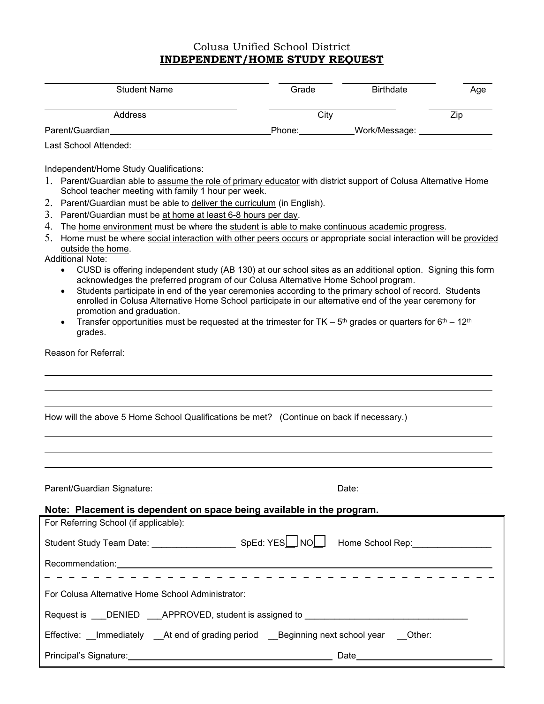## Colusa Unified School District **INDEPENDENT/HOME STUDY REQUEST**

| <b>Student Name</b>   | Grade  | <b>Birthdate</b> | Age |  |
|-----------------------|--------|------------------|-----|--|
| Address               | City   | Zip              |     |  |
| Parent/Guardian       | Phone: | Work/Message:    |     |  |
| Last School Attended: |        |                  |     |  |

Independent/Home Study Qualifications:

- 1. Parent/Guardian able to assume the role of primary educator with district support of Colusa Alternative Home School teacher meeting with family 1 hour per week.
- 2. Parent/Guardian must be able to deliver the curriculum (in English).
- 3. Parent/Guardian must be at home at least 6-8 hours per day.
- 4. The home environment must be where the student is able to make continuous academic progress.
- 5. Home must be where social interaction with other peers occurs or appropriate social interaction will be provided outside the home.

Additional Note:

- CUSD is offering independent study (AB 130) at our school sites as an additional option. Signing this form acknowledges the preferred program of our Colusa Alternative Home School program.
- Students participate in end of the year ceremonies according to the primary school of record. Students enrolled in Colusa Alternative Home School participate in our alternative end of the year ceremony for promotion and graduation.
- Transfer opportunities must be requested at the trimester for TK  $5<sup>th</sup>$  grades or quarters for  $6<sup>th</sup>$  12<sup>th</sup> grades.

Reason for Referral:

l

| How will the above 5 Home School Qualifications be met? (Continue on back if necessary.)                                                                                                                                       |  |  |
|--------------------------------------------------------------------------------------------------------------------------------------------------------------------------------------------------------------------------------|--|--|
|                                                                                                                                                                                                                                |  |  |
| <u> 1989 - Ann an Dùbhlachd ann an Dùbhlachd ann an Dùbhlachd ann an Dùbhlachd ann an Dùbhlachd ann an Dùbhlachd</u>                                                                                                           |  |  |
|                                                                                                                                                                                                                                |  |  |
| Note: Placement is dependent on space being available in the program.                                                                                                                                                          |  |  |
| For Referring School (if applicable):                                                                                                                                                                                          |  |  |
| Student Study Team Date: __________________________________SpEd: YESLUNOLU Home School Rep: __________________                                                                                                                 |  |  |
| Recommendation: Network and Contract and Contract and Contract and Contract and Contract and Contract and Contract and Contract and Contract and Contract and Contract and Contract and Contract and Contract and Contract and |  |  |
|                                                                                                                                                                                                                                |  |  |
| For Colusa Alternative Home School Administrator:                                                                                                                                                                              |  |  |
| Request is ___DENIED ___APPROVED, student is assigned to ________________________                                                                                                                                              |  |  |
| Effective: Immediately At end of grading period Beginning next school year Other:                                                                                                                                              |  |  |
|                                                                                                                                                                                                                                |  |  |